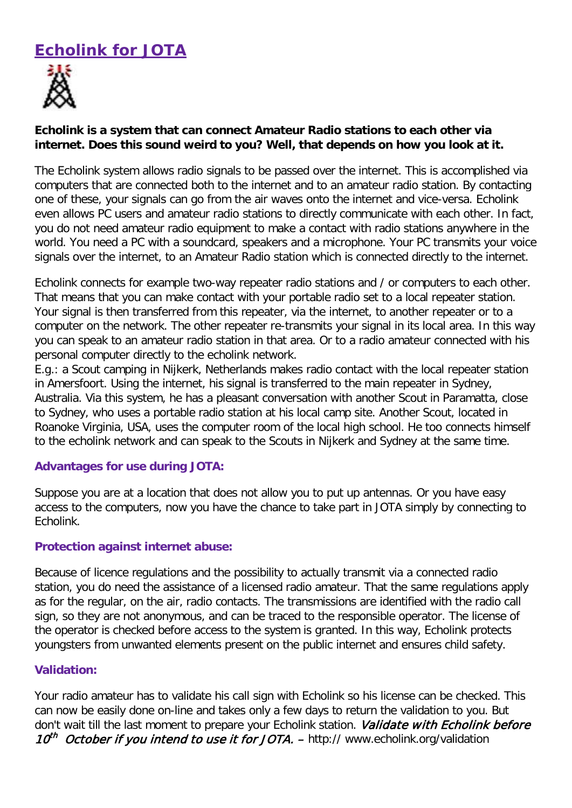# **Echolink for JOTA**



## **Echolink is a system that can connect Amateur Radio stations to each other via internet. Does this sound weird to you? Well, that depends on how you look at it.**

The Echolink system allows radio signals to be passed over the internet. This is accomplished via computers that are connected both to the internet and to an amateur radio station. By contacting one of these, your signals can go from the air waves onto the internet and vice-versa. Echolink even allows PC users and amateur radio stations to directly communicate with each other. In fact, you do not need amateur radio equipment to make a contact with radio stations anywhere in the world. You need a PC with a soundcard, speakers and a microphone. Your PC transmits your voice signals over the internet, to an Amateur Radio station which is connected directly to the internet.

Echolink connects for example two-way repeater radio stations and / or computers to each other. That means that you can make contact with your portable radio set to a local repeater station. Your signal is then transferred from this repeater, via the internet, to another repeater or to a computer on the network. The other repeater re-transmits your signal in its local area. In this way you can speak to an amateur radio station in that area. Or to a radio amateur connected with his personal computer directly to the echolink network.

E.g.: a Scout camping in Nijkerk, Netherlands makes radio contact with the local repeater station in Amersfoort. Using the internet, his signal is transferred to the main repeater in Sydney, Australia. Via this system, he has a pleasant conversation with another Scout in Paramatta, close to Sydney, who uses a portable radio station at his local camp site. Another Scout, located in Roanoke Virginia, USA, uses the computer room of the local high school. He too connects himself to the echolink network and can speak to the Scouts in Nijkerk and Sydney at the same time.

### **Advantages for use during JOTA:**

Suppose you are at a location that does not allow you to put up antennas. Or you have easy access to the computers, now you have the chance to take part in JOTA simply by connecting to Echolink.

### **Protection against internet abuse:**

Because of licence regulations and the possibility to actually transmit via a connected radio station, you do need the assistance of a licensed radio amateur. That the same regulations apply as for the regular, on the air, radio contacts. The transmissions are identified with the radio call sign, so they are not anonymous, and can be traced to the responsible operator. The license of the operator is checked before access to the system is granted. In this way, Echolink protects youngsters from unwanted elements present on the public internet and ensures child safety.

### **Validation:**

Your radio amateur has to validate his call sign with Echolink so his license can be checked. This can now be easily done on-line and takes only a few days to return the validation to you. But don't wait till the last moment to prepare your Echolink station. Validate with Echolink before 10<sup>th</sup> October if you intend to use it for JOTA.  $-$  http:// www.echolink.org/validation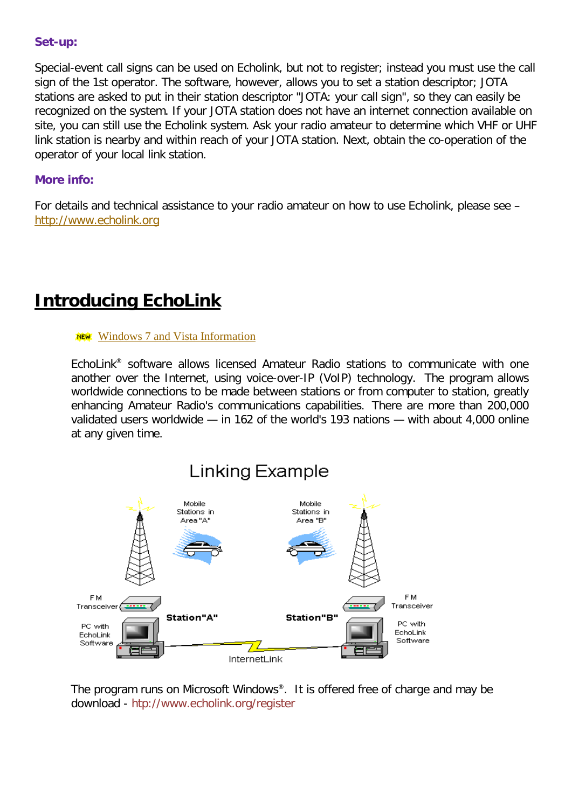#### **Set-up:**

Special-event call signs can be used on Echolink, but not to register; instead you must use the call sign of the 1st operator. The software, however, allows you to set a station descriptor; JOTA stations are asked to put in their station descriptor "JOTA: your call sign", so they can easily be recognized on the system. If your JOTA station does not have an internet connection available on site, you can still use the Echolink system. Ask your radio amateur to determine which VHF or UHF link station is nearby and within reach of your JOTA station. Next, obtain the co-operation of the operator of your local link station.

#### **More info:**

For details and technical assistance to your radio amateur on how to use Echolink, please see – [http://www.echolink.org](http://www.echolink.org/)

# **Introducing EchoLink**

#### **NEW:** [Windows 7 and Vista Information](http://www.echolink.org/vista.htm)

EchoLink® software allows licensed Amateur Radio stations to communicate with one another over the Internet, using voice-over-IP (VoIP) technology. The program allows worldwide connections to be made between stations or from computer to station, greatly enhancing Amateur Radio's communications capabilities. There are more than 200,000 validated users worldwide — in 162 of the world's 193 nations — with about 4,000 online at any given time.



The program runs on Microsoft Windows®. It is offered free of charge and may be download - htp://www.echolink.org/register